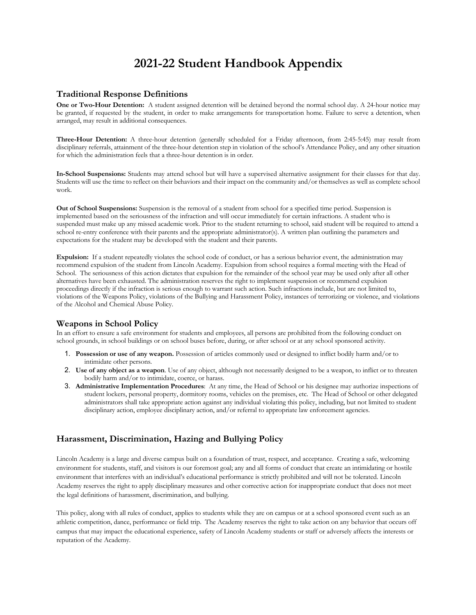# **2021-22 Student Handbook Appendix**

# **Traditional Response Definitions**

**One or Two-Hour Detention:** A student assigned detention will be detained beyond the normal school day. A 24-hour notice may be granted, if requested by the student, in order to make arrangements for transportation home. Failure to serve a detention, when arranged, may result in additional consequences.

**Three-Hour Detention:** A three-hour detention (generally scheduled for a Friday afternoon, from 2:45-5:45) may result from disciplinary referrals, attainment of the three-hour detention step in violation of the school's Attendance Policy, and any other situation for which the administration feels that a three-hour detention is in order.

**In-School Suspensions:** Students may attend school but will have a supervised alternative assignment for their classes for that day. Students will use the time to reflect on their behaviors and their impact on the community and/or themselves as well as complete school work.

**Out of School Suspensions:** Suspension is the removal of a student from school for a specified time period. Suspension is implemented based on the seriousness of the infraction and will occur immediately for certain infractions. A student who is suspended must make up any missed academic work. Prior to the student returning to school, said student will be required to attend a school re-entry conference with their parents and the appropriate administrator(s). A written plan outlining the parameters and expectations for the student may be developed with the student and their parents.

**Expulsion:** If a student repeatedly violates the school code of conduct, or has a serious behavior event, the administration may recommend expulsion of the student from Lincoln Academy. Expulsion from school requires a formal meeting with the Head of School. The seriousness of this action dictates that expulsion for the remainder of the school year may be used only after all other alternatives have been exhausted. The administration reserves the right to implement suspension or recommend expulsion proceedings directly if the infraction is serious enough to warrant such action. Such infractions include, but are not limited to, violations of the Weapons Policy, violations of the Bullying and Harassment Policy, instances of terrorizing or violence, and violations of the Alcohol and Chemical Abuse Policy.

# **Weapons in School Policy**

In an effort to ensure a safe environment for students and employees, all persons are prohibited from the following conduct on school grounds, in school buildings or on school buses before, during, or after school or at any school sponsored activity.

- 1. **Possession or use of any weapon.** Possession of articles commonly used or designed to inflict bodily harm and/or to intimidate other persons.
- 2. **Use of any object as a weapon**. Use of any object, although not necessarily designed to be a weapon, to inflict or to threaten bodily harm and/or to intimidate, coerce, or harass.
- 3. **Administrative Implementation Procedures**: At any time, the Head of School or his designee may authorize inspections of student lockers, personal property, dormitory rooms, vehicles on the premises, etc. The Head of School or other delegated administrators shall take appropriate action against any individual violating this policy, including, but not limited to student disciplinary action, employee disciplinary action, and/or referral to appropriate law enforcement agencies.

# **Harassment, Discrimination, Hazing and Bullying Policy**

Lincoln Academy is a large and diverse campus built on a foundation of trust, respect, and acceptance. Creating a safe, welcoming environment for students, staff, and visitors is our foremost goal; any and all forms of conduct that create an intimidating or hostile environment that interferes with an individual's educational performance is strictly prohibited and will not be tolerated. Lincoln Academy reserves the right to apply disciplinary measures and other corrective action for inappropriate conduct that does not meet the legal definitions of harassment, discrimination, and bullying.

This policy, along with all rules of conduct, applies to students while they are on campus or at a school sponsored event such as an athletic competition, dance, performance or field trip. The Academy reserves the right to take action on any behavior that occurs off campus that may impact the educational experience, safety of Lincoln Academy students or staff or adversely affects the interests or reputation of the Academy.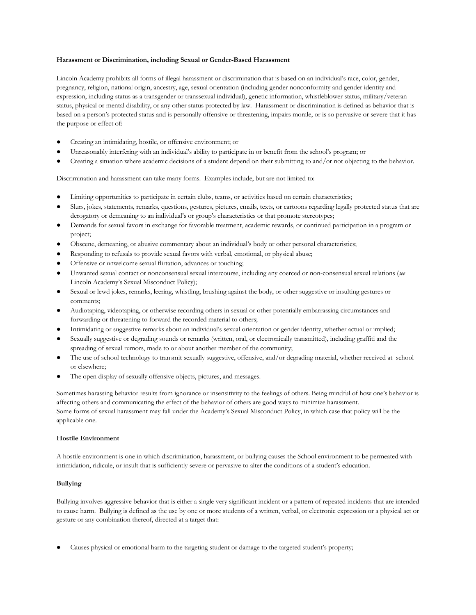# **Harassment or Discrimination, including Sexual or Gender-Based Harassment**

Lincoln Academy prohibits all forms of illegal harassment or discrimination that is based on an individual's race, color, gender, pregnancy, religion, national origin, ancestry, age, sexual orientation (including gender nonconformity and gender identity and expression, including status as a transgender or transsexual individual), genetic information, whistleblower status, military/veteran status, physical or mental disability, or any other status protected by law. Harassment or discrimination is defined as behavior that is based on a person's protected status and is personally offensive or threatening, impairs morale, or is so pervasive or severe that it has the purpose or effect of:

- Creating an intimidating, hostile, or offensive environment; or
- Unreasonably interfering with an individual's ability to participate in or benefit from the school's program; or
- Creating a situation where academic decisions of a student depend on their submitting to and/or not objecting to the behavior.

Discrimination and harassment can take many forms. Examples include, but are not limited to:

- Limiting opportunities to participate in certain clubs, teams, or activities based on certain characteristics;
- Slurs, jokes, statements, remarks, questions, gestures, pictures, emails, texts, or cartoons regarding legally protected status that are derogatory or demeaning to an individual's or group's characteristics or that promote stereotypes;
- Demands for sexual favors in exchange for favorable treatment, academic rewards, or continued participation in a program or project;
- Obscene, demeaning, or abusive commentary about an individual's body or other personal characteristics;
- Responding to refusals to provide sexual favors with verbal, emotional, or physical abuse;
- Offensive or unwelcome sexual flirtation, advances or touching;
- Unwanted sexual contact or nonconsensual sexual intercourse, including any coerced or non-consensual sexual relations (see Lincoln Academy's Sexual Misconduct Policy);
- Sexual or lewd jokes, remarks, leering, whistling, brushing against the body, or other suggestive or insulting gestures or comments;
- Audiotaping, videotaping, or otherwise recording others in sexual or other potentially embarrassing circumstances and forwarding or threatening to forward the recorded material to others;
- Intimidating or suggestive remarks about an individual's sexual orientation or gender identity, whether actual or implied;
- Sexually suggestive or degrading sounds or remarks (written, oral, or electronically transmitted), including graffiti and the spreading of sexual rumors, made to or about another member of the community;
- The use of school technology to transmit sexually suggestive, offensive, and/or degrading material, whether received at school or elsewhere;
- The open display of sexually offensive objects, pictures, and messages.

Sometimes harassing behavior results from ignorance or insensitivity to the feelings of others. Being mindful of how one's behavior is affecting others and communicating the effect of the behavior of others are good ways to minimize harassment. Some forms of sexual harassment may fall under the Academy's Sexual Misconduct Policy, in which case that policy will be the applicable one.

# **Hostile Environment**

A hostile environment is one in which discrimination, harassment, or bullying causes the School environment to be permeated with intimidation, ridicule, or insult that is sufficiently severe or pervasive to alter the conditions of a student's education.

# **Bullying**

Bullying involves aggressive behavior that is either a single very significant incident or a pattern of repeated incidents that are intended to cause harm. Bullying is defined as the use by one or more students of a written, verbal, or electronic expression or a physical act or gesture or any combination thereof, directed at a target that:

Causes physical or emotional harm to the targeting student or damage to the targeted student's property;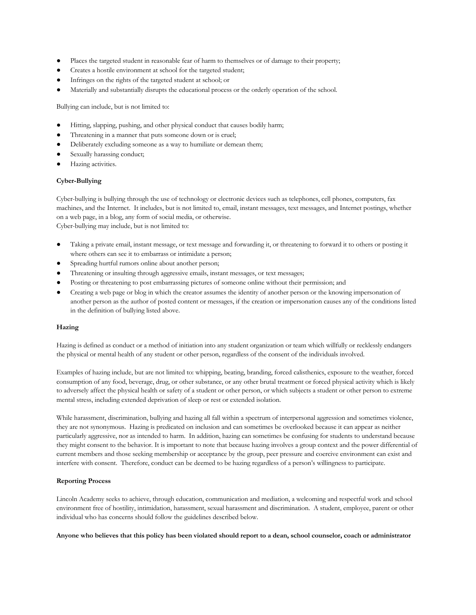- Places the targeted student in reasonable fear of harm to themselves or of damage to their property;
- Creates a hostile environment at school for the targeted student;
- Infringes on the rights of the targeted student at school; or
- Materially and substantially disrupts the educational process or the orderly operation of the school.

Bullying can include, but is not limited to:

- Hitting, slapping, pushing, and other physical conduct that causes bodily harm;
- Threatening in a manner that puts someone down or is cruel;
- Deliberately excluding someone as a way to humiliate or demean them;
- Sexually harassing conduct;
- Hazing activities.

#### **Cyber-Bullying**

Cyber-bullying is bullying through the use of technology or electronic devices such as telephones, cell phones, computers, fax machines, and the Internet. It includes, but is not limited to, email, instant messages, text messages, and Internet postings, whether on a web page, in a blog, any form of social media, or otherwise. Cyber-bullying may include, but is not limited to:

- Taking a private email, instant message, or text message and forwarding it, or threatening to forward it to others or posting it where others can see it to embarrass or intimidate a person;
- Spreading hurtful rumors online about another person;
- Threatening or insulting through aggressive emails, instant messages, or text messages;
- Posting or threatening to post embarrassing pictures of someone online without their permission; and
- Creating a web page or blog in which the creator assumes the identity of another person or the knowing impersonation of another person as the author of posted content or messages, if the creation or impersonation causes any of the conditions listed in the definition of bullying listed above.

## **Hazing**

Hazing is defined as conduct or a method of initiation into any student organization or team which willfully or recklessly endangers the physical or mental health of any student or other person, regardless of the consent of the individuals involved.

Examples of hazing include, but are not limited to: whipping, beating, branding, forced calisthenics, exposure to the weather, forced consumption of any food, beverage, drug, or other substance, or any other brutal treatment or forced physical activity which is likely to adversely affect the physical health or safety of a student or other person, or which subjects a student or other person to extreme mental stress, including extended deprivation of sleep or rest or extended isolation.

While harassment, discrimination, bullying and hazing all fall within a spectrum of interpersonal aggression and sometimes violence, they are not synonymous. Hazing is predicated on inclusion and can sometimes be overlooked because it can appear as neither particularly aggressive, nor as intended to harm. In addition, hazing can sometimes be confusing for students to understand because they might consent to the behavior. It is important to note that because hazing involves a group context and the power differential of current members and those seeking membership or acceptance by the group, peer pressure and coercive environment can exist and interfere with consent. Therefore, conduct can be deemed to be hazing regardless of a person's willingness to participate.

## **Reporting Process**

Lincoln Academy seeks to achieve, through education, communication and mediation, a welcoming and respectful work and school environment free of hostility, intimidation, harassment, sexual harassment and discrimination. A student, employee, parent or other individual who has concerns should follow the guidelines described below.

**Anyone who believes that this policy has been violated should report to a dean, school counselor, coach or administrator**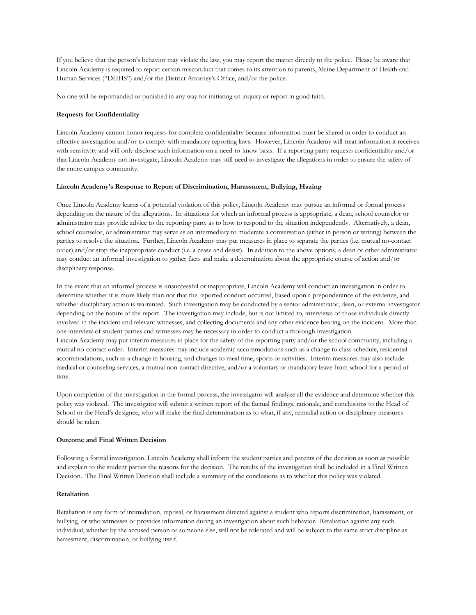If you believe that the person's behavior may violate the law, you may report the matter directly to the police. Please be aware that Lincoln Academy is required to report certain misconduct that comes to its attention to parents, Maine Department of Health and Human Services ("DHHS") and/or the District Attorney's Office, and/or the police.

No one will be reprimanded or punished in any way for initiating an inquiry or report in good faith.

# **Requests for Confidentiality**

Lincoln Academy cannot honor requests for complete confidentiality because information must be shared in order to conduct an effective investigation and/or to comply with mandatory reporting laws. However, Lincoln Academy will treat information it receives with sensitivity and will only disclose such information on a need-to-know basis. If a reporting party requests confidentiality and/or that Lincoln Academy not investigate, Lincoln Academy may still need to investigate the allegations in order to ensure the safety of the entire campus community.

# **Lincoln Academy's Response to Report of Discrimination, Harassment, Bullying, Hazing**

Once Lincoln Academy learns of a potential violation of this policy, Lincoln Academy may pursue an informal or formal process depending on the nature of the allegations. In situations for which an informal process is appropriate, a dean, school counselor or administrator may provide advice to the reporting party as to how to respond to the situation independently. Alternatively, a dean, school counselor, or administrator may serve as an intermediary to moderate a conversation (either in person or writing) between the parties to resolve the situation. Further, Lincoln Academy may put measures in place to separate the parties (i.e. mutual no-contact order) and/or stop the inappropriate conduct (i.e. a cease and desist). In addition to the above options, a dean or other administrator may conduct an informal investigation to gather facts and make a determination about the appropriate course of action and/or disciplinary response.

In the event that an informal process is unsuccessful or inappropriate, Lincoln Academy will conduct an investigation in order to determine whether it is more likely than not that the reported conduct occurred, based upon a preponderance of the evidence, and whether disciplinary action is warranted. Such investigation may be conducted by a senior administrator, dean, or external investigator depending on the nature of the report. The investigation may include, but is not limited to, interviews of those individuals directly involved in the incident and relevant witnesses, and collecting documents and any other evidence bearing on the incident. More than one interview of student parties and witnesses may be necessary in order to conduct a thorough investigation. Lincoln Academy may put interim measures in place for the safety of the reporting party and/or the school community, including a mutual no-contact order. Interim measures may include academic accommodations such as a change to class schedule, residential accommodations, such as a change in housing, and changes to meal time, sports or activities. Interim measures may also include medical or counseling services, a mutual non-contact directive, and/or a voluntary or mandatory leave from school for a period of time.

Upon completion of the investigation in the formal process, the investigator will analyze all the evidence and determine whether this policy was violated. The investigator will submit a written report of the factual findings, rationale, and conclusions to the Head of School or the Head's designee, who will make the final determination as to what, if any, remedial action or disciplinary measures should be taken.

# **Outcome and Final Written Decision**

Following a formal investigation, Lincoln Academy shall inform the student parties and parents of the decision as soon as possible and explain to the student parties the reasons for the decision. The results of the investigation shall be included in a Final Written Decision. The Final Written Decision shall include a summary of the conclusions as to whether this policy was violated.

# **Retaliation**

Retaliation is any form of intimidation, reprisal, or harassment directed against a student who reports discrimination, harassment, or bullying, or who witnesses or provides information during an investigation about such behavior. Retaliation against any such individual, whether by the accused person or someone else, will not be tolerated and will be subject to the same strict discipline as harassment, discrimination, or bullying itself.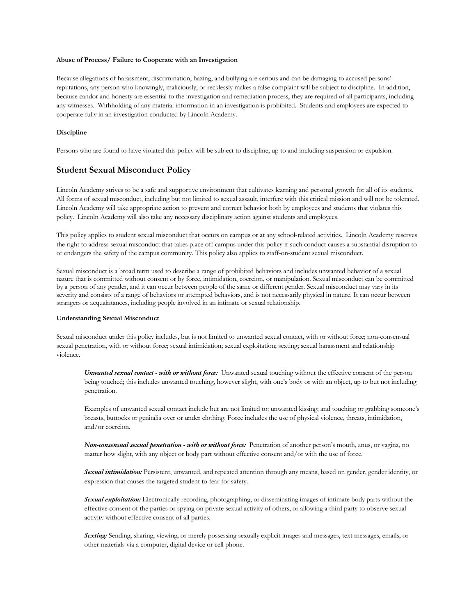#### **Abuse of Process/ Failure to Cooperate with an Investigation**

Because allegations of harassment, discrimination, hazing, and bullying are serious and can be damaging to accused persons' reputations, any person who knowingly, maliciously, or recklessly makes a false complaint will be subject to discipline. In addition, because candor and honesty are essential to the investigation and remediation process, they are required of all participants, including any witnesses. Withholding of any material information in an investigation is prohibited. Students and employees are expected to cooperate fully in an investigation conducted by Lincoln Academy.

#### **Discipline**

Persons who are found to have violated this policy will be subject to discipline, up to and including suspension or expulsion.

# **Student Sexual Misconduct Policy**

Lincoln Academy strives to be a safe and supportive environment that cultivates learning and personal growth for all of its students. All forms of sexual misconduct, including but not limited to sexual assault, interfere with this critical mission and will not be tolerated. Lincoln Academy will take appropriate action to prevent and correct behavior both by employees and students that violates this policy. Lincoln Academy will also take any necessary disciplinary action against students and employees.

This policy applies to student sexual misconduct that occurs on campus or at any school-related activities. Lincoln Academy reserves the right to address sexual misconduct that takes place off campus under this policy if such conduct causes a substantial disruption to or endangers the safety of the campus community. This policy also applies to staff-on-student sexual misconduct.

Sexual misconduct is a broad term used to describe a range of prohibited behaviors and includes unwanted behavior of a sexual nature that is committed without consent or by force, intimidation, coercion, or manipulation. Sexual misconduct can be committed by a person of any gender, and it can occur between people of the same or different gender. Sexual misconduct may vary in its severity and consists of a range of behaviors or attempted behaviors, and is not necessarily physical in nature. It can occur between strangers or acquaintances, including people involved in an intimate or sexual relationship.

#### **Understanding Sexual Misconduct**

Sexual misconduct under this policy includes, but is not limited to unwanted sexual contact, with or without force; non-consensual sexual penetration, with or without force; sexual intimidation; sexual exploitation; sexting; sexual harassment and relationship violence.

*Unwanted sexual contact - with or without force:* Unwanted sexual touching without the effective consent of the person being touched; this includes unwanted touching, however slight, with one's body or with an object, up to but not including penetration.

Examples of unwanted sexual contact include but are not limited to: unwanted kissing; and touching or grabbing someone's breasts, buttocks or genitalia over or under clothing. Force includes the use of physical violence, threats, intimidation, and/or coercion.

*Non-consensual sexual penetration - with or without force:* Penetration of another person's mouth, anus, or vagina, no matter how slight, with any object or body part without effective consent and/or with the use of force.

*Sexual intimidation:* Persistent, unwanted, and repeated attention through any means, based on gender, gender identity, or expression that causes the targeted student to fear for safety.

*Sexual exploitation:* Electronically recording, photographing, or disseminating images of intimate body parts without the effective consent of the parties or spying on private sexual activity of others, or allowing a third party to observe sexual activity without effective consent of all parties.

**Sexting:** Sending, sharing, viewing, or merely possessing sexually explicit images and messages, text messages, emails, or other materials via a computer, digital device or cell phone.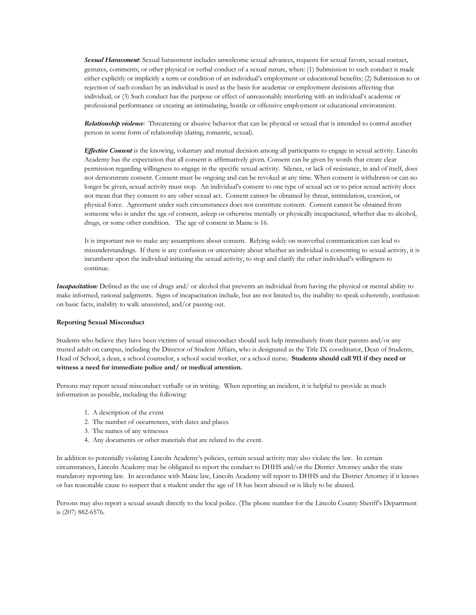*Sexual Harassment*: Sexual harassment includes unwelcome sexual advances, requests for sexual favors, sexual contact, gestures, comments, or other physical or verbal conduct of a sexual nature, when: (1) Submission to such conduct is made either explicitly or implicitly a term or condition of an individual's employment or educational benefits; (2) Submission to or rejection of such conduct by an individual is used as the basis for academic or employment decisions affecting that individual; or (3) Such conduct has the purpose or effect of unreasonably interfering with an individual's academic or professional performance or creating an intimidating, hostile or offensive employment or educational environment.

*Relationship violence:* Threatening or abusive behavior that can be physical or sexual that is intended to control another person in some form of relationship (dating, romantic, sexual).

*Effective Consent* is the knowing, voluntary and mutual decision among all participants to engage in sexual activity. Lincoln Academy has the expectation that all consent is affirmatively given. Consent can be given by words that create clear permission regarding willingness to engage in the specific sexual activity. Silence, or lack of resistance, in and of itself, does not demonstrate consent. Consent must be ongoing and can be revoked at any time. When consent is withdrawn or can no longer be given, sexual activity must stop. An individual's consent to one type of sexual act or to prior sexual activity does not mean that they consent to any other sexual act. Consent cannot be obtained by threat, intimidation, coercion, or physical force. Agreement under such circumstances does not constitute consent. Consent cannot be obtained from someone who is under the age of consent, asleep or otherwise mentally or physically incapacitated, whether due to alcohol, drugs, or some other condition. The age of consent in Maine is 16.

It is important not to make any assumptions about consent. Relying solely on nonverbal communication can lead to misunderstandings. If there is any confusion or uncertainty about whether an individual is consenting to sexual activity, it is incumbent upon the individual initiating the sexual activity, to stop and clarify the other individual's willingness to continue.

*Incapacitation:* Defined as the use of drugs and/ or alcohol that prevents an individual from having the physical or mental ability to make informed, rational judgments. Signs of incapacitation include, but are not limited to, the inability to speak coherently, confusion on basic facts, inability to walk unassisted, and/or passing out.

# **Reporting Sexual Misconduct**

Students who believe they have been victims of sexual misconduct should seek help immediately from their parents and/or any trusted adult on campus, including the Director of Student Affairs, who is designated as the Title IX coordinator, Dean of Students, Head of School, a dean, a school counselor, a school social worker, or a school nurse. **Students should call 911 if they need or witness a need for immediate police and/ or medical attention.**

Persons may report sexual misconduct verbally or in writing. When reporting an incident, it is helpful to provide as much information as possible, including the following:

- 1. A description of the event
- 2. The number of occurrences, with dates and places
- 3. The names of any witnesses
- 4. Any documents or other materials that are related to the event.

In addition to potentially violating Lincoln Academy's policies, certain sexual activity may also violate the law. In certain circumstances, Lincoln Academy may be obligated to report the conduct to DHHS and/or the District Attorney under the state mandatory reporting law. In accordance with Maine law, Lincoln Academy will report to DHHS and the District Attorney if it knows or has reasonable cause to suspect that a student under the age of 18 has been abused or is likely to be abused.

Persons may also report a sexual assault directly to the local police. (The phone number for the Lincoln County Sheriff's Department is (207) 882-6576.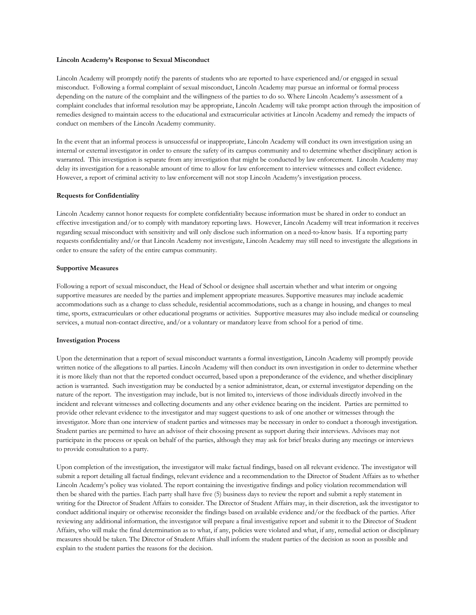#### **Lincoln Academy's Response to Sexual Misconduct**

Lincoln Academy will promptly notify the parents of students who are reported to have experienced and/or engaged in sexual misconduct. Following a formal complaint of sexual misconduct, Lincoln Academy may pursue an informal or formal process depending on the nature of the complaint and the willingness of the parties to do so. Where Lincoln Academy's assessment of a complaint concludes that informal resolution may be appropriate, Lincoln Academy will take prompt action through the imposition of remedies designed to maintain access to the educational and extracurricular activities at Lincoln Academy and remedy the impacts of conduct on members of the Lincoln Academy community.

In the event that an informal process is unsuccessful or inappropriate, Lincoln Academy will conduct its own investigation using an internal or external investigator in order to ensure the safety of its campus community and to determine whether disciplinary action is warranted. This investigation is separate from any investigation that might be conducted by law enforcement. Lincoln Academy may delay its investigation for a reasonable amount of time to allow for law enforcement to interview witnesses and collect evidence. However, a report of criminal activity to law enforcement will not stop Lincoln Academy's investigation process.

# **Requests for Confidentiality**

Lincoln Academy cannot honor requests for complete confidentiality because information must be shared in order to conduct an effective investigation and/or to comply with mandatory reporting laws. However, Lincoln Academy will treat information it receives regarding sexual misconduct with sensitivity and will only disclose such information on a need-to-know basis. If a reporting party requests confidentiality and/or that Lincoln Academy not investigate, Lincoln Academy may still need to investigate the allegations in order to ensure the safety of the entire campus community.

#### **Supportive Measures**

Following a report of sexual misconduct, the Head of School or designee shall ascertain whether and what interim or ongoing supportive measures are needed by the parties and implement appropriate measures. Supportive measures may include academic accommodations such as a change to class schedule, residential accommodations, such as a change in housing, and changes to meal time, sports, extracurriculars or other educational programs or activities. Supportive measures may also include medical or counseling services, a mutual non-contact directive, and/or a voluntary or mandatory leave from school for a period of time.

#### **Investigation Process**

Upon the determination that a report of sexual misconduct warrants a formal investigation, Lincoln Academy will promptly provide written notice of the allegations to all parties. Lincoln Academy will then conduct its own investigation in order to determine whether it is more likely than not that the reported conduct occurred, based upon a preponderance of the evidence, and whether disciplinary action is warranted. Such investigation may be conducted by a senior administrator, dean, or external investigator depending on the nature of the report. The investigation may include, but is not limited to, interviews of those individuals directly involved in the incident and relevant witnesses and collecting documents and any other evidence bearing on the incident. Parties are permitted to provide other relevant evidence to the investigator and may suggest questions to ask of one another or witnesses through the investigator. More than one interview of student parties and witnesses may be necessary in order to conduct a thorough investigation. Student parties are permitted to have an advisor of their choosing present as support during their interviews. Advisors may not participate in the process or speak on behalf of the parties, although they may ask for brief breaks during any meetings or interviews to provide consultation to a party.

Upon completion of the investigation, the investigator will make factual findings, based on all relevant evidence. The investigator will submit a report detailing all factual findings, relevant evidence and a recommendation to the Director of Student Affairs as to whether Lincoln Academy's policy was violated. The report containing the investigative findings and policy violation recommendation will then be shared with the parties. Each party shall have five (5) business days to review the report and submit a reply statement in writing for the Director of Student Affairs to consider. The Director of Student Affairs may, in their discretion, ask the investigator to conduct additional inquiry or otherwise reconsider the findings based on available evidence and/or the feedback of the parties. After reviewing any additional information, the investigator will prepare a final investigative report and submit it to the Director of Student Affairs, who will make the final determination as to what, if any, policies were violated and what, if any, remedial action or disciplinary measures should be taken. The Director of Student Affairs shall inform the student parties of the decision as soon as possible and explain to the student parties the reasons for the decision.